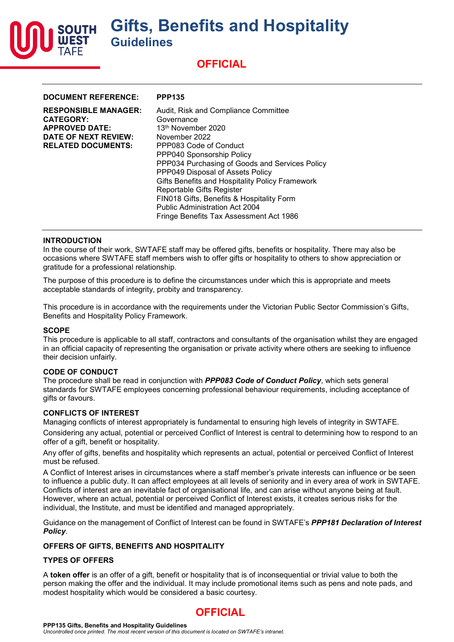

| <b>DOCUMENT REFERENCE:</b>                                                                                                           | <b>PPP135</b>                                                                                                                                                                                                                                                                                                                                                                                                                                                       |
|--------------------------------------------------------------------------------------------------------------------------------------|---------------------------------------------------------------------------------------------------------------------------------------------------------------------------------------------------------------------------------------------------------------------------------------------------------------------------------------------------------------------------------------------------------------------------------------------------------------------|
| <b>RESPONSIBLE MANAGER:</b><br><b>CATEGORY:</b><br><b>APPROVED DATE:</b><br><b>DATE OF NEXT REVIEW:</b><br><b>RELATED DOCUMENTS:</b> | Audit, Risk and Compliance Committee<br>Governance<br>13 <sup>th</sup> November 2020<br>November 2022<br>PPP083 Code of Conduct<br>PPP040 Sponsorship Policy<br>PPP034 Purchasing of Goods and Services Policy<br>PPP049 Disposal of Assets Policy<br>Gifts Benefits and Hospitality Policy Framework<br>Reportable Gifts Register<br>FIN018 Gifts, Benefits & Hospitality Form<br><b>Public Administration Act 2004</b><br>Fringe Benefits Tax Assessment Act 1986 |
|                                                                                                                                      |                                                                                                                                                                                                                                                                                                                                                                                                                                                                     |

#### **INTRODUCTION**

In the course of their work, SWTAFE staff may be offered gifts, benefits or hospitality. There may also be occasions where SWTAFE staff members wish to offer gifts or hospitality to others to show appreciation or gratitude for a professional relationship.

The purpose of this procedure is to define the circumstances under which this is appropriate and meets acceptable standards of integrity, probity and transparency.

This procedure is in accordance with the requirements under the Victorian Public Sector Commission's Gifts, Benefits and Hospitality Policy Framework.

#### **SCOPE**

This procedure is applicable to all staff, contractors and consultants of the organisation whilst they are engaged in an official capacity of representing the organisation or private activity where others are seeking to influence their decision unfairly.

#### **CODE OF CONDUCT**

The procedure shall be read in conjunction with *PPP083 Code of Conduct Policy*, which sets general standards for SWTAFE employees concerning professional behaviour requirements, including acceptance of aifts or favours.

#### **CONFLICTS OF INTEREST**

Managing conflicts of interest appropriately is fundamental to ensuring high levels of integrity in SWTAFE.

Considering any actual, potential or perceived Conflict of Interest is central to determining how to respond to an offer of a gift, benefit or hospitality.

Any offer of gifts, benefits and hospitality which represents an actual, potential or perceived Conflict of Interest must be refused.

A Conflict of Interest arises in circumstances where a staff member's private interests can influence or be seen to influence a public duty. It can affect employees at all levels of seniority and in every area of work in SWTAFE. Conflicts of interest are an inevitable fact of organisational life, and can arise without anyone being at fault. However, where an actual, potential or perceived Conflict of Interest exists, it creates serious risks for the individual, the Institute, and must be identified and managed appropriately.

Guidance on the management of Conflict of Interest can be found in SWTAFE's *PPP181 Declaration of Interest Policy*.

## **OFFERS OF GIFTS, BENEFITS AND HOSPITALITY**

#### **TYPES OF OFFERS**

A **token offer** is an offer of a gift, benefit or hospitality that is of inconsequential or trivial value to both the person making the offer and the individual. It may include promotional items such as pens and note pads, and modest hospitality which would be considered a basic courtesy.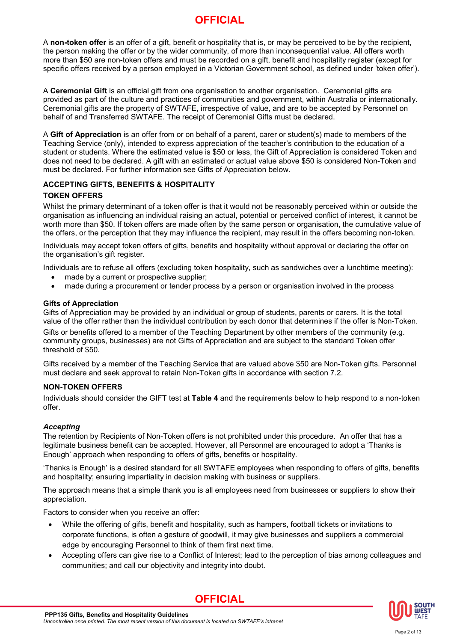A **non-token offer** is an offer of a gift, benefit or hospitality that is, or may be perceived to be by the recipient, the person making the offer or by the wider community, of more than inconsequential value. All offers worth more than \$50 are non-token offers and must be recorded on a gift, benefit and hospitality register (except for specific offers received by a person employed in a Victorian Government school, as defined under 'token offer').

A **Ceremonial Gift** is an official gift from one organisation to another organisation. Ceremonial gifts are provided as part of the culture and practices of communities and government, within Australia or internationally. Ceremonial gifts are the property of SWTAFE, irrespective of value, and are to be accepted by Personnel on behalf of and Transferred SWTAFE. The receipt of Ceremonial Gifts must be declared.

A **Gift of Appreciation** is an offer from or on behalf of a parent, carer or student(s) made to members of the Teaching Service (only), intended to express appreciation of the teacher's contribution to the education of a student or students. Where the estimated value is \$50 or less, the Gift of Appreciation is considered Token and does not need to be declared. A gift with an estimated or actual value above \$50 is considered Non-Token and must be declared. For further information see Gifts of Appreciation below.

## **ACCEPTING GIFTS, BENEFITS & HOSPITALITY**

## **TOKEN OFFERS**

Whilst the primary determinant of a token offer is that it would not be reasonably perceived within or outside the organisation as influencing an individual raising an actual, potential or perceived conflict of interest, it cannot be worth more than \$50. If token offers are made often by the same person or organisation, the cumulative value of the offers, or the perception that they may influence the recipient, may result in the offers becoming non-token.

Individuals may accept token offers of gifts, benefits and hospitality without approval or declaring the offer on the organisation's gift register.

Individuals are to refuse all offers (excluding token hospitality, such as sandwiches over a lunchtime meeting): • made by a current or prospective supplier;

• made during a procurement or tender process by a person or organisation involved in the process

### **Gifts of Appreciation**

Gifts of Appreciation may be provided by an individual or group of students, parents or carers. It is the total value of the offer rather than the individual contribution by each donor that determines if the offer is Non-Token.

Gifts or benefits offered to a member of the Teaching Department by other members of the community (e.g. community groups, businesses) are not Gifts of Appreciation and are subject to the standard Token offer threshold of \$50.

Gifts received by a member of the Teaching Service that are valued above \$50 are Non-Token gifts. Personnel must declare and seek approval to retain Non-Token gifts in accordance with section 7.2.

## **NON-TOKEN OFFERS**

Individuals should consider the GIFT test at **Table 4** and the requirements below to help respond to a non-token offer.

## *Accepting*

The retention by Recipients of Non-Token offers is not prohibited under this procedure. An offer that has a legitimate business benefit can be accepted. However, all Personnel are encouraged to adopt a 'Thanks is Enough' approach when responding to offers of gifts, benefits or hospitality.

'Thanks is Enough' is a desired standard for all SWTAFE employees when responding to offers of gifts, benefits and hospitality; ensuring impartiality in decision making with business or suppliers.

The approach means that a simple thank you is all employees need from businesses or suppliers to show their appreciation.

Factors to consider when you receive an offer:

- While the offering of gifts, benefit and hospitality, such as hampers, football tickets or invitations to corporate functions, is often a gesture of goodwill, it may give businesses and suppliers a commercial edge by encouraging Personnel to think of them first next time.
- Accepting offers can give rise to a Conflict of Interest; lead to the perception of bias among colleagues and communities; and call our objectivity and integrity into doubt.



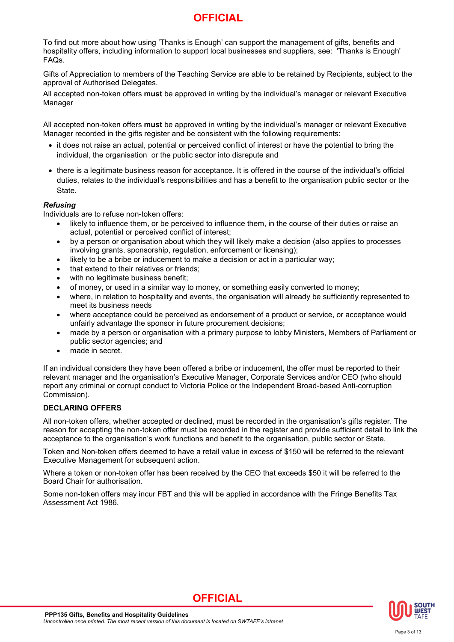To find out more about how using 'Thanks is Enough' can support the management of gifts, benefits and hospitality offers, including information to support local businesses and suppliers, see: 'Thanks is Enough' FAQs.

Gifts of Appreciation to members of the Teaching Service are able to be retained by Recipients, subject to the approval of Authorised Delegates.

All accepted non-token offers **must** be approved in writing by the individual's manager or relevant Executive Manager

All accepted non-token offers **must** be approved in writing by the individual's manager or relevant Executive Manager recorded in the gifts register and be consistent with the following requirements:

- it does not raise an actual, potential or perceived conflict of interest or have the potential to bring the individual, the organisation or the public sector into disrepute and
- there is a legitimate business reason for acceptance. It is offered in the course of the individual's official duties, relates to the individual's responsibilities and has a benefit to the organisation public sector or the State.

## *Refusing*

Individuals are to refuse non-token offers:

- likely to influence them, or be perceived to influence them, in the course of their duties or raise an actual, potential or perceived conflict of interest;
- by a person or organisation about which they will likely make a decision (also applies to processes involving grants, sponsorship, regulation, enforcement or licensing);
- likely to be a bribe or inducement to make a decision or act in a particular way;
- that extend to their relatives or friends;
- with no legitimate business benefit;
- of money, or used in a similar way to money, or something easily converted to money;
- where, in relation to hospitality and events, the organisation will already be sufficiently represented to meet its business needs
- where acceptance could be perceived as endorsement of a product or service, or acceptance would unfairly advantage the sponsor in future procurement decisions;
- made by a person or organisation with a primary purpose to lobby Ministers, Members of Parliament or public sector agencies; and
- made in secret.

If an individual considers they have been offered a bribe or inducement, the offer must be reported to their relevant manager and the organisation's Executive Manager, Corporate Services and/or CEO (who should report any criminal or corrupt conduct to Victoria Police or the Independent Broad-based Anti-corruption Commission).

## **DECLARING OFFERS**

All non-token offers, whether accepted or declined, must be recorded in the organisation's gifts register. The reason for accepting the non-token offer must be recorded in the register and provide sufficient detail to link the acceptance to the organisation's work functions and benefit to the organisation, public sector or State.

Token and Non-token offers deemed to have a retail value in excess of \$150 will be referred to the relevant Executive Management for subsequent action.

Where a token or non-token offer has been received by the CEO that exceeds \$50 it will be referred to the Board Chair for authorisation.

Some non-token offers may incur FBT and this will be applied in accordance with the Fringe Benefits Tax Assessment Act 1986.

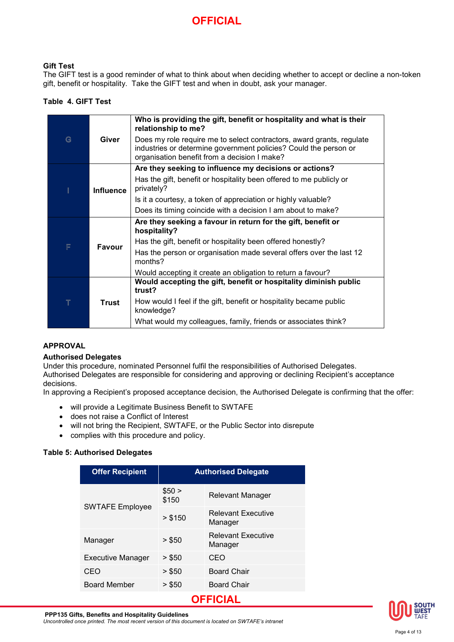## **Gift Test**

The GIFT test is a good reminder of what to think about when deciding whether to accept or decline a non-token gift, benefit or hospitality. Take the GIFT test and when in doubt, ask your manager.

## **Table 4. GIFT Test**

|        | Giver            | Who is providing the gift, benefit or hospitality and what is their<br>relationship to me?                                                                                                |
|--------|------------------|-------------------------------------------------------------------------------------------------------------------------------------------------------------------------------------------|
| G      |                  | Does my role require me to select contractors, award grants, regulate<br>industries or determine government policies? Could the person or<br>organisation benefit from a decision I make? |
|        | <b>Influence</b> | Are they seeking to influence my decisions or actions?                                                                                                                                    |
|        |                  | Has the gift, benefit or hospitality been offered to me publicly or<br>privately?                                                                                                         |
|        |                  | Is it a courtesy, a token of appreciation or highly valuable?                                                                                                                             |
|        |                  | Does its timing coincide with a decision I am about to make?                                                                                                                              |
| F      | Favour           | Are they seeking a favour in return for the gift, benefit or<br>hospitality?                                                                                                              |
|        |                  | Has the gift, benefit or hospitality been offered honestly?                                                                                                                               |
|        |                  | Has the person or organisation made several offers over the last 12<br>months?                                                                                                            |
|        |                  | Would accepting it create an obligation to return a favour?                                                                                                                               |
| $\top$ | Trust            | Would accepting the gift, benefit or hospitality diminish public<br>trust?                                                                                                                |
|        |                  | How would I feel if the gift, benefit or hospitality became public<br>knowledge?                                                                                                          |
|        |                  | What would my colleagues, family, friends or associates think?                                                                                                                            |

## **APPROVAL**

## **Authorised Delegates**

Under this procedure, nominated Personnel fulfil the responsibilities of Authorised Delegates.

Authorised Delegates are responsible for considering and approving or declining Recipient's acceptance decisions.

In approving a Recipient's proposed acceptance decision, the Authorised Delegate is confirming that the offer:

- will provide a Legitimate Business Benefit to SWTAFE
- does not raise a Conflict of Interest
- will not bring the Recipient, SWTAFE, or the Public Sector into disrepute
- complies with this procedure and policy.

## **Table 5: Authorised Delegates**

| <b>Offer Recipient</b>   | <b>Authorised Delegate</b> |                                      |  |
|--------------------------|----------------------------|--------------------------------------|--|
|                          | \$50 ><br>\$150            | Relevant Manager                     |  |
| <b>SWTAFE Employee</b>   | > \$150                    | <b>Relevant Executive</b><br>Manager |  |
| Manager                  | > \$50                     | <b>Relevant Executive</b><br>Manager |  |
| <b>Executive Manager</b> | > \$50                     | CEO                                  |  |
| CEO                      | > \$50                     | <b>Board Chair</b>                   |  |
| <b>Board Member</b>      | > \$50                     | <b>Board Chair</b>                   |  |
| OFFICIAL                 |                            |                                      |  |

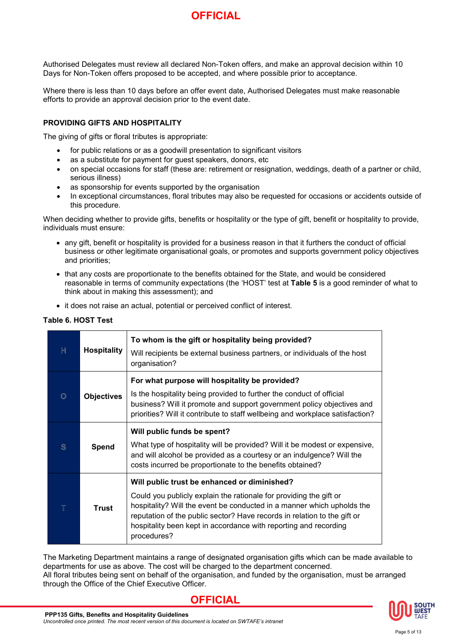Authorised Delegates must review all declared Non-Token offers, and make an approval decision within 10 Days for Non-Token offers proposed to be accepted, and where possible prior to acceptance.

Where there is less than 10 days before an offer event date, Authorised Delegates must make reasonable efforts to provide an approval decision prior to the event date.

### **PROVIDING GIFTS AND HOSPITALITY**

The giving of gifts or floral tributes is appropriate:

- for public relations or as a goodwill presentation to significant visitors
- as a substitute for payment for guest speakers, donors, etc
- on special occasions for staff (these are: retirement or resignation, weddings, death of a partner or child, serious illness)
- as sponsorship for events supported by the organisation
- In exceptional circumstances, floral tributes may also be requested for occasions or accidents outside of this procedure.

When deciding whether to provide gifts, benefits or hospitality or the type of gift, benefit or hospitality to provide, individuals must ensure:

- any gift, benefit or hospitality is provided for a business reason in that it furthers the conduct of official business or other legitimate organisational goals, or promotes and supports government policy objectives and priorities;
- that any costs are proportionate to the benefits obtained for the State, and would be considered reasonable in terms of community expectations (the 'HOST' test at **Table 5** is a good reminder of what to think about in making this assessment); and
- it does not raise an actual, potential or perceived conflict of interest.

#### **Table 6. HOST Test**

| H       | <b>Hospitality</b> | To whom is the gift or hospitality being provided?<br>Will recipients be external business partners, or individuals of the host<br>organisation?                                                                                                                                                                                                            |
|---------|--------------------|-------------------------------------------------------------------------------------------------------------------------------------------------------------------------------------------------------------------------------------------------------------------------------------------------------------------------------------------------------------|
| $\circ$ | <b>Objectives</b>  | For what purpose will hospitality be provided?<br>Is the hospitality being provided to further the conduct of official<br>business? Will it promote and support government policy objectives and<br>priorities? Will it contribute to staff wellbeing and workplace satisfaction?                                                                           |
| S       | Spend              | Will public funds be spent?<br>What type of hospitality will be provided? Will it be modest or expensive,<br>and will alcohol be provided as a courtesy or an indulgence? Will the<br>costs incurred be proportionate to the benefits obtained?                                                                                                             |
|         | <b>Trust</b>       | Will public trust be enhanced or diminished?<br>Could you publicly explain the rationale for providing the gift or<br>hospitality? Will the event be conducted in a manner which upholds the<br>reputation of the public sector? Have records in relation to the gift or<br>hospitality been kept in accordance with reporting and recording<br>procedures? |

The Marketing Department maintains a range of designated organisation gifts which can be made available to departments for use as above. The cost will be charged to the department concerned. All floral tributes being sent on behalf of the organisation, and funded by the organisation, must be arranged through the Office of the Chief Executive Officer.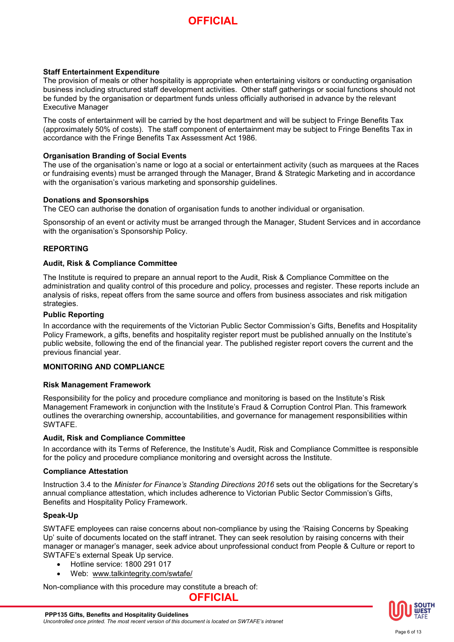### **Staff Entertainment Expenditure**

The provision of meals or other hospitality is appropriate when entertaining visitors or conducting organisation business including structured staff development activities. Other staff gatherings or social functions should not be funded by the organisation or department funds unless officially authorised in advance by the relevant Executive Manager

The costs of entertainment will be carried by the host department and will be subject to Fringe Benefits Tax (approximately 50% of costs). The staff component of entertainment may be subject to Fringe Benefits Tax in accordance with the Fringe Benefits Tax Assessment Act 1986.

#### **Organisation Branding of Social Events**

The use of the organisation's name or logo at a social or entertainment activity (such as marquees at the Races or fundraising events) must be arranged through the Manager, Brand & Strategic Marketing and in accordance with the organisation's various marketing and sponsorship quidelines.

#### **Donations and Sponsorships**

The CEO can authorise the donation of organisation funds to another individual or organisation.

Sponsorship of an event or activity must be arranged through the Manager, Student Services and in accordance with the organisation's [Sponsorship Policy.](http://10.20.1.27:81/Staff/policies/policies/docs/staff/Sponsorship_Policy.pdf)

### **REPORTING**

#### **Audit, Risk & Compliance Committee**

The Institute is required to prepare an annual report to the Audit, Risk & Compliance Committee on the administration and quality control of this procedure and policy, processes and register. These reports include an analysis of risks, repeat offers from the same source and offers from business associates and risk mitigation strategies.

### **Public Reporting**

In accordance with the requirements of the Victorian Public Sector Commission's Gifts, Benefits and Hospitality Policy Framework, a gifts, benefits and hospitality register report must be published annually on the Institute's public website, following the end of the financial year. The published register report covers the current and the previous financial year.

## **MONITORING AND COMPLIANCE**

#### **Risk Management Framework**

Responsibility for the policy and procedure compliance and monitoring is based on the Institute's Risk Management Framework in conjunction with the Institute's Fraud & Corruption Control Plan. This framework outlines the overarching ownership, accountabilities, and governance for management responsibilities within SWTAFE.

#### **Audit, Risk and Compliance Committee**

In accordance with its Terms of Reference, the Institute's Audit, Risk and Compliance Committee is responsible for the policy and procedure compliance monitoring and oversight across the Institute.

### **Compliance Attestation**

Instruction 3.4 to the *Minister for Finance's Standing Directions 2016* sets out the obligations for the Secretary's annual compliance attestation, which includes adherence to Victorian Public Sector Commission's Gifts, Benefits and Hospitality Policy Framework.

#### **Speak-Up**

SWTAFE employees can raise concerns about non-compliance by using the 'Raising Concerns by Speaking Up' suite of documents located on the staff intranet. They can seek resolution by raising concerns with their manager or manager's manager, seek advice about unprofessional conduct from People & Culture or report to SWTAFE's external Speak Up service.

- Hotline service: 1800 291 017
- Web: [www.talkintegrity.com/swtafe/](http://www.talkintegrity.com/swtafe/)

Non-compliance with this procedure may constitute a breach of:

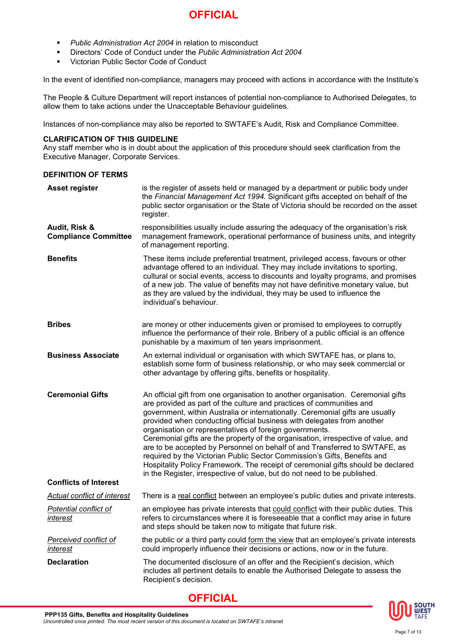- *Public Administration Act 2004* in relation to misconduct
- Directors' Code of Conduct under the *Public Administration Act 2004*
- Victorian Public Sector Code of Conduct

In the event of identified non-compliance, managers may proceed with actions in accordance with the Institute's

The People & Culture Department will report instances of potential non-compliance to Authorised Delegates, to allow them to take actions under the Unacceptable Behaviour guidelines.

Instances of non-compliance may also be reported to SWTAFE's Audit, Risk and Compliance Committee.

#### **CLARIFICATION OF THIS GUIDELINE**

Any staff member who is in doubt about the application of this procedure should seek clarification from the Executive Manager, Corporate Services.

### **DEFINITION OF TERMS**

| Asset register                               | is the register of assets held or managed by a department or public body under<br>the Financial Management Act 1994. Significant gifts accepted on behalf of the<br>public sector organisation or the State of Victoria should be recorded on the asset<br>register.                                                                                                                                                                                                                                                                                                                                                                                                                                                                                                                          |  |
|----------------------------------------------|-----------------------------------------------------------------------------------------------------------------------------------------------------------------------------------------------------------------------------------------------------------------------------------------------------------------------------------------------------------------------------------------------------------------------------------------------------------------------------------------------------------------------------------------------------------------------------------------------------------------------------------------------------------------------------------------------------------------------------------------------------------------------------------------------|--|
| Audit, Risk &<br><b>Compliance Committee</b> | responsibilities usually include assuring the adequacy of the organisation's risk<br>management framework, operational performance of business units, and integrity<br>of management reporting.                                                                                                                                                                                                                                                                                                                                                                                                                                                                                                                                                                                               |  |
| <b>Benefits</b>                              | These items include preferential treatment, privileged access, favours or other<br>advantage offered to an individual. They may include invitations to sporting,<br>cultural or social events, access to discounts and loyalty programs, and promises<br>of a new job. The value of benefits may not have definitive monetary value, but<br>as they are valued by the individual, they may be used to influence the<br>individual's behaviour.                                                                                                                                                                                                                                                                                                                                                |  |
| <b>Bribes</b>                                | are money or other inducements given or promised to employees to corruptly<br>influence the performance of their role. Bribery of a public official is an offence<br>punishable by a maximum of ten years imprisonment.                                                                                                                                                                                                                                                                                                                                                                                                                                                                                                                                                                       |  |
| <b>Business Associate</b>                    | An external individual or organisation with which SWTAFE has, or plans to,<br>establish some form of business relationship, or who may seek commercial or<br>other advantage by offering gifts, benefits or hospitality.                                                                                                                                                                                                                                                                                                                                                                                                                                                                                                                                                                      |  |
| <b>Ceremonial Gifts</b>                      | An official gift from one organisation to another organisation. Ceremonial gifts<br>are provided as part of the culture and practices of communities and<br>government, within Australia or internationally. Ceremonial gifts are usually<br>provided when conducting official business with delegates from another<br>organisation or representatives of foreign governments.<br>Ceremonial gifts are the property of the organisation, irrespective of value, and<br>are to be accepted by Personnel on behalf of and Transferred to SWTAFE, as<br>required by the Victorian Public Sector Commission's Gifts, Benefits and<br>Hospitality Policy Framework. The receipt of ceremonial gifts should be declared<br>in the Register, irrespective of value, but do not need to be published. |  |
| <b>Conflicts of Interest</b>                 |                                                                                                                                                                                                                                                                                                                                                                                                                                                                                                                                                                                                                                                                                                                                                                                               |  |
| Actual conflict of interest                  | There is a real conflict between an employee's public duties and private interests.                                                                                                                                                                                                                                                                                                                                                                                                                                                                                                                                                                                                                                                                                                           |  |
| <b>Potential conflict of</b><br>interest     | an employee has private interests that could conflict with their public duties. This<br>refers to circumstances where it is foreseeable that a conflict may arise in future<br>and steps should be taken now to mitigate that future risk.                                                                                                                                                                                                                                                                                                                                                                                                                                                                                                                                                    |  |
| <b>Perceived conflict of</b><br>interest     | the public or a third party could form the view that an employee's private interests<br>could improperly influence their decisions or actions, now or in the future.                                                                                                                                                                                                                                                                                                                                                                                                                                                                                                                                                                                                                          |  |
| <b>Declaration</b>                           | The documented disclosure of an offer and the Recipient's decision, which<br>includes all pertinent details to enable the Authorised Delegate to assess the<br>Recipient's decision.                                                                                                                                                                                                                                                                                                                                                                                                                                                                                                                                                                                                          |  |

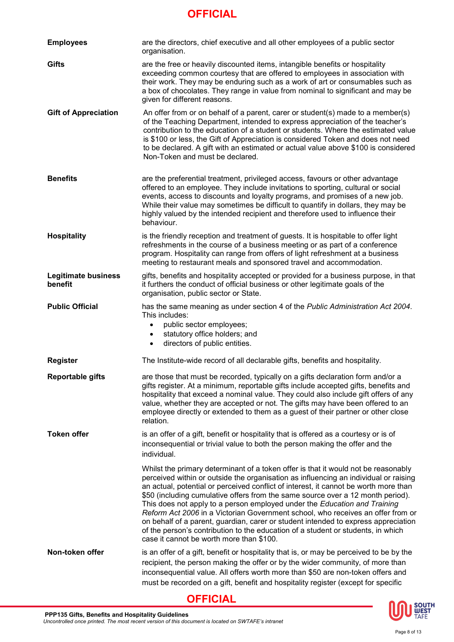| <b>Employees</b>                      | are the directors, chief executive and all other employees of a public sector<br>organisation.                                                                                                                                                                                                                                                                                                                                                                                                                                                                                                                                                                                                                                              |
|---------------------------------------|---------------------------------------------------------------------------------------------------------------------------------------------------------------------------------------------------------------------------------------------------------------------------------------------------------------------------------------------------------------------------------------------------------------------------------------------------------------------------------------------------------------------------------------------------------------------------------------------------------------------------------------------------------------------------------------------------------------------------------------------|
| Gifts                                 | are the free or heavily discounted items, intangible benefits or hospitality<br>exceeding common courtesy that are offered to employees in association with<br>their work. They may be enduring such as a work of art or consumables such as<br>a box of chocolates. They range in value from nominal to significant and may be<br>given for different reasons.                                                                                                                                                                                                                                                                                                                                                                             |
| <b>Gift of Appreciation</b>           | An offer from or on behalf of a parent, carer or student(s) made to a member(s)<br>of the Teaching Department, intended to express appreciation of the teacher's<br>contribution to the education of a student or students. Where the estimated value<br>is \$100 or less, the Gift of Appreciation is considered Token and does not need<br>to be declared. A gift with an estimated or actual value above \$100 is considered<br>Non-Token and must be declared.                                                                                                                                                                                                                                                                          |
| <b>Benefits</b>                       | are the preferential treatment, privileged access, favours or other advantage<br>offered to an employee. They include invitations to sporting, cultural or social<br>events, access to discounts and loyalty programs, and promises of a new job.<br>While their value may sometimes be difficult to quantify in dollars, they may be<br>highly valued by the intended recipient and therefore used to influence their<br>behaviour.                                                                                                                                                                                                                                                                                                        |
| <b>Hospitality</b>                    | is the friendly reception and treatment of guests. It is hospitable to offer light<br>refreshments in the course of a business meeting or as part of a conference<br>program. Hospitality can range from offers of light refreshment at a business<br>meeting to restaurant meals and sponsored travel and accommodation.                                                                                                                                                                                                                                                                                                                                                                                                                   |
| <b>Legitimate business</b><br>benefit | gifts, benefits and hospitality accepted or provided for a business purpose, in that<br>it furthers the conduct of official business or other legitimate goals of the<br>organisation, public sector or State.                                                                                                                                                                                                                                                                                                                                                                                                                                                                                                                              |
| <b>Public Official</b>                | has the same meaning as under section 4 of the Public Administration Act 2004.<br>This includes:<br>public sector employees;<br>$\bullet$<br>statutory office holders; and<br>$\bullet$<br>directors of public entities.<br>$\bullet$                                                                                                                                                                                                                                                                                                                                                                                                                                                                                                       |
| <b>Register</b>                       | The Institute-wide record of all declarable gifts, benefits and hospitality.                                                                                                                                                                                                                                                                                                                                                                                                                                                                                                                                                                                                                                                                |
| <b>Reportable gifts</b>               | are those that must be recorded, typically on a gifts declaration form and/or a<br>gifts register. At a minimum, reportable gifts include accepted gifts, benefits and<br>hospitality that exceed a nominal value. They could also include gift offers of any<br>value, whether they are accepted or not. The gifts may have been offered to an<br>employee directly or extended to them as a guest of their partner or other close<br>relation.                                                                                                                                                                                                                                                                                            |
| <b>Token offer</b>                    | is an offer of a gift, benefit or hospitality that is offered as a courtesy or is of<br>inconsequential or trivial value to both the person making the offer and the<br>individual.                                                                                                                                                                                                                                                                                                                                                                                                                                                                                                                                                         |
|                                       | Whilst the primary determinant of a token offer is that it would not be reasonably<br>perceived within or outside the organisation as influencing an individual or raising<br>an actual, potential or perceived conflict of interest, it cannot be worth more than<br>\$50 (including cumulative offers from the same source over a 12 month period).<br>This does not apply to a person employed under the Education and Training<br>Reform Act 2006 in a Victorian Government school, who receives an offer from or<br>on behalf of a parent, guardian, carer or student intended to express appreciation<br>of the person's contribution to the education of a student or students, in which<br>case it cannot be worth more than \$100. |
| Non-token offer                       | is an offer of a gift, benefit or hospitality that is, or may be perceived to be by the<br>recipient, the person making the offer or by the wider community, of more than<br>inconsequential value. All offers worth more than \$50 are non-token offers and<br>must be recorded on a gift, benefit and hospitality register (except for specific                                                                                                                                                                                                                                                                                                                                                                                           |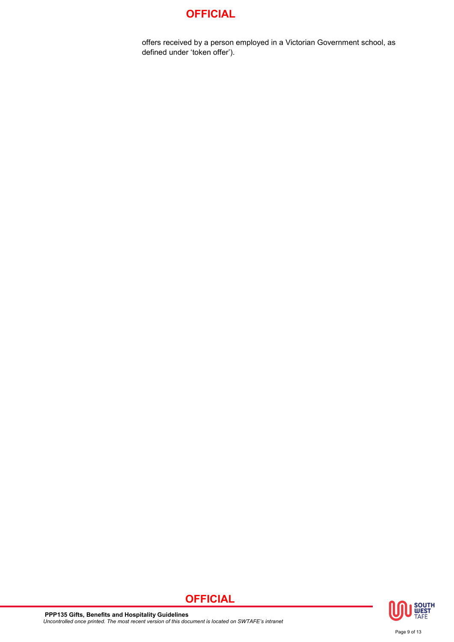offers received by a person employed in a Victorian Government school, as defined under 'token offer').

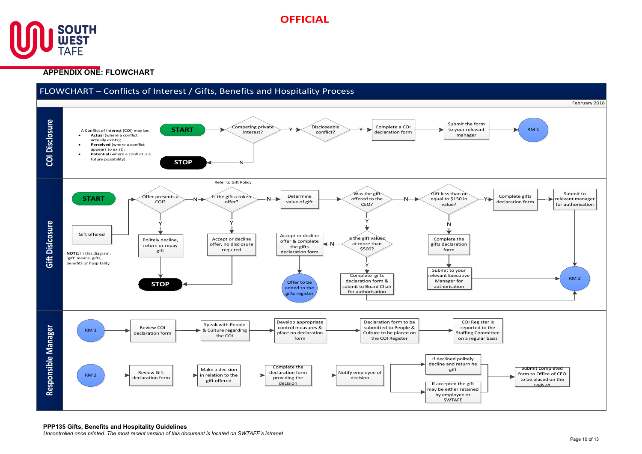



## **APPENDIX ONE: FLOWCHART**

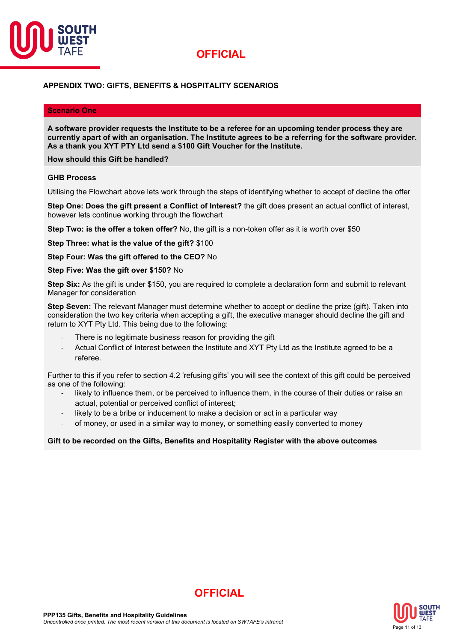

### **APPENDIX TWO: GIFTS, BENEFITS & HOSPITALITY SCENARIOS**

#### **Scenario One**

**A software provider requests the Institute to be a referee for an upcoming tender process they are currently apart of with an organisation. The Institute agrees to be a referring for the software provider. As a thank you XYT PTY Ltd send a \$100 Gift Voucher for the Institute.** 

**How should this Gift be handled?**

#### **GHB Process**

Utilising the Flowchart above lets work through the steps of identifying whether to accept of decline the offer

**Step One: Does the gift present a Conflict of Interest?** the gift does present an actual conflict of interest, however lets continue working through the flowchart

**Step Two: is the offer a token offer?** No, the gift is a non-token offer as it is worth over \$50

**Step Three: what is the value of the gift?** \$100

**Step Four: Was the gift offered to the CEO?** No

#### **Step Five: Was the gift over \$150?** No

**Step Six:** As the gift is under \$150, you are required to complete a declaration form and submit to relevant Manager for consideration

**Step Seven:** The relevant Manager must determine whether to accept or decline the prize (gift). Taken into consideration the two key criteria when accepting a gift, the executive manager should decline the gift and return to XYT Pty Ltd. This being due to the following:

- There is no legitimate business reason for providing the gift
- Actual Conflict of Interest between the Institute and XYT Pty Ltd as the Institute agreed to be a referee.

Further to this if you refer to section 4.2 'refusing gifts' you will see the context of this gift could be perceived as one of the following:

- likely to influence them, or be perceived to influence them, in the course of their duties or raise an actual, potential or perceived conflict of interest;
- likely to be a bribe or inducement to make a decision or act in a particular way
- of money, or used in a similar way to money, or something easily converted to money

#### **Gift to be recorded on the Gifts, Benefits and Hospitality Register with the above outcomes**



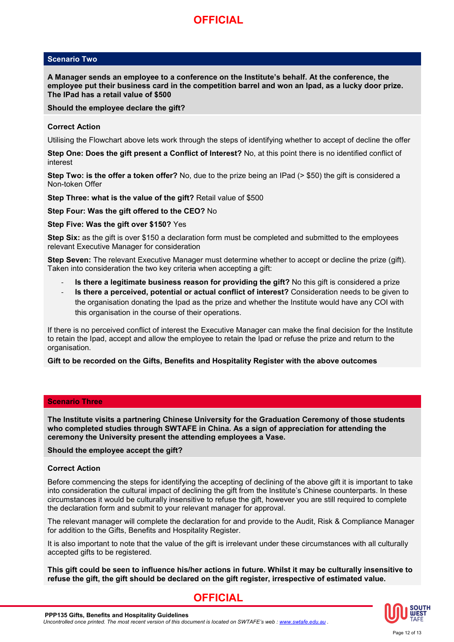## **Scenario Two**

**A Manager sends an employee to a conference on the Institute's behalf. At the conference, the employee put their business card in the competition barrel and won an Ipad, as a lucky door prize. The IPad has a retail value of \$500**

**Should the employee declare the gift?**

#### **Correct Action**

Utilising the Flowchart above lets work through the steps of identifying whether to accept of decline the offer

**Step One: Does the gift present a Conflict of Interest?** No, at this point there is no identified conflict of interest

**Step Two: is the offer a token offer?** No, due to the prize being an IPad (> \$50) the gift is considered a Non-token Offer

**Step Three: what is the value of the gift?** Retail value of \$500

#### **Step Four: Was the gift offered to the CEO?** No

#### **Step Five: Was the gift over \$150?** Yes

**Step Six:** as the gift is over \$150 a declaration form must be completed and submitted to the employees relevant Executive Manager for consideration

**Step Seven:** The relevant Executive Manager must determine whether to accept or decline the prize (gift). Taken into consideration the two key criteria when accepting a gift:

- **Is there a legitimate business reason for providing the gift?** No this gift is considered a prize
- **Is there a perceived, potential or actual conflict of interest?** Consideration needs to be given to the organisation donating the Ipad as the prize and whether the Institute would have any COI with this organisation in the course of their operations.

If there is no perceived conflict of interest the Executive Manager can make the final decision for the Institute to retain the Ipad, accept and allow the employee to retain the Ipad or refuse the prize and return to the organisation.

#### **Gift to be recorded on the Gifts, Benefits and Hospitality Register with the above outcomes**

#### **Scenario Three**

**The Institute visits a partnering Chinese University for the Graduation Ceremony of those students who completed studies through SWTAFE in China. As a sign of appreciation for attending the ceremony the University present the attending employees a Vase.**

#### **Should the employee accept the gift?**

#### **Correct Action**

Before commencing the steps for identifying the accepting of declining of the above gift it is important to take into consideration the cultural impact of declining the gift from the Institute's Chinese counterparts. In these circumstances it would be culturally insensitive to refuse the gift, however you are still required to complete the declaration form and submit to your relevant manager for approval.

The relevant manager will complete the declaration for and provide to the Audit, Risk & Compliance Manager for addition to the Gifts, Benefits and Hospitality Register.

It is also important to note that the value of the gift is irrelevant under these circumstances with all culturally accepted gifts to be registered.

**This gift could be seen to influence his/her actions in future. Whilst it may be culturally insensitive to refuse the gift, the gift should be declared on the gift register, irrespective of estimated value.**